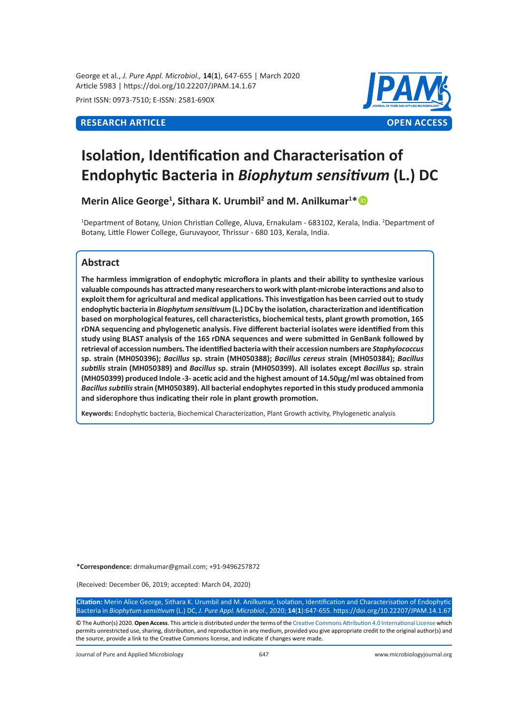George et al., *J. Pure Appl. Microbiol.,* **14**(**1**), 647-655 | March 2020 Article 5983 | https://doi.org/10.22207/JPAM.14.1.67

Print ISSN: 0973-7510; E-ISSN: 2581-690X



# **Isolation, Identification and Characterisation of Endophytic Bacteria in** *Biophytum sensitivum* **(L.) DC**

**Merin Alice George<sup>1</sup>, Sithara K. Urumbil<sup>2</sup> and M. Anilkumar<sup>1\*</sup>** 

<sup>1</sup>Department of Botany, Union Christian College, Aluva, Ernakulam - 683102, Kerala, India. <sup>2</sup>Department of Botany, Little Flower College, Guruvayoor, Thrissur - 680 103, Kerala, India.

### **Abstract**

**The harmless immigration of endophytic microflora in plants and their ability to synthesize various valuable compounds has attracted many researchers to work with plant-microbe interactions and also to exploit them for agricultural and medical applications. This investigation has been carried out to study endophytic bacteria in** *Biophytum sensitivum* **(L.) DC by the isolation, characterization and identification based on morphological features, cell characteristics, biochemical tests, plant growth promotion, 16S rDNA sequencing and phylogenetic analysis. Five different bacterial isolates were identified from this study using BLAST analysis of the 16S rDNA sequences and were submitted in GenBank followed by retrieval of accession numbers. The identified bacteria with their accession numbers are** *Staphylococcus*  **sp. strain (MH050396);** *Bacillus* **sp. strain (MH050388);** *Bacillus cereus* **strain (MH050384);** *Bacillus subtilis* **strain (MH050389) and** *Bacillus* **sp. strain (MH050399). All isolates except** *Bacillus* **sp. strain (MH050399) produced Indole -3- acetic acid and the highest amount of 14.50µg/ml was obtained from**  *Bacillus subtilis* **strain (MH050389). All bacterial endophytes reported in this study produced ammonia and siderophore thus indicating their role in plant growth promotion.**

**Keywords:** Endophytic bacteria, Biochemical Characterization, Plant Growth activity, Phylogenetic analysis

**\*Correspondence:** drmakumar@gmail.com; +91-9496257872

(Received: December 06, 2019; accepted: March 04, 2020)

**Citation:** Merin Alice George, Sithara K. Urumbil and M. Anilkumar, Isolation, Identification and Characterisation of Endophytic Bacteria in *Biophytum sensitivum* (L.) DC, *J. Pure Appl. Microbiol*., 2020; **14**(**1**):647-655. https://doi.org/10.22207/JPAM.14.1.67

© The Author(s) 2020. **Open Access**. This article is distributed under the terms of the [Creative Commons Attribution 4.0 International License](https://creativecommons.org/licenses/by/4.0/) which permits unrestricted use, sharing, distribution, and reproduction in any medium, provided you give appropriate credit to the original author(s) and the source, provide a link to the Creative Commons license, and indicate if changes were made.

Journal of Pure and Applied Microbiology 647 www.microbiologyjournal.org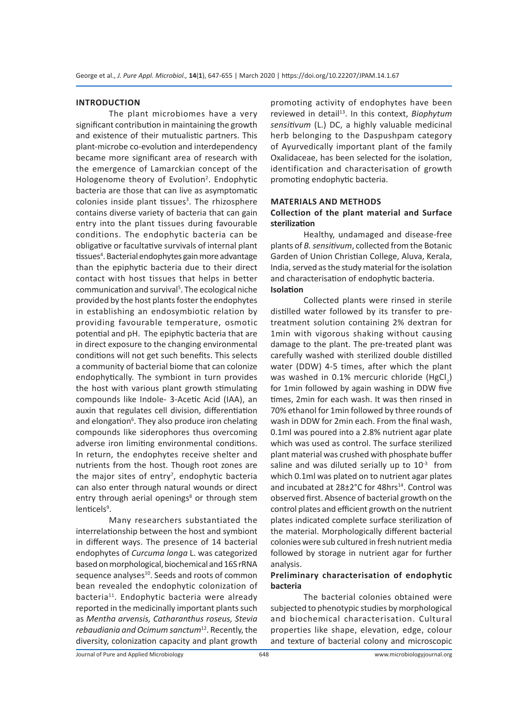### **INTRODUCTION**

The plant microbiomes have a very significant contribution in maintaining the growth and existence of their mutualistic partners. This plant-microbe co-evolution and interdependency became more significant area of research with the emergence of Lamarckian concept of the Hologenome theory of Evolution<sup>2</sup>. Endophytic bacteria are those that can live as asymptomatic colonies inside plant tissues<sup>3</sup>. The rhizosphere contains diverse variety of bacteria that can gain entry into the plant tissues during favourable conditions. The endophytic bacteria can be obligative or facultative survivals of internal plant tissues<sup>4</sup>. Bacterial endophytes gain more advantage than the epiphytic bacteria due to their direct contact with host tissues that helps in better communication and survival<sup>5</sup>. The ecological niche provided by the host plants foster the endophytes in establishing an endosymbiotic relation by providing favourable temperature, osmotic potential and pH. The epiphytic bacteria that are in direct exposure to the changing environmental conditions will not get such benefits. This selects a community of bacterial biome that can colonize endophytically. The symbiont in turn provides the host with various plant growth stimulating compounds like Indole- 3-Acetic Acid (IAA), an auxin that regulates cell division, differentiation and elongation<sup>6</sup>. They also produce iron chelating compounds like siderophores thus overcoming adverse iron limiting environmental conditions. In return, the endophytes receive shelter and nutrients from the host. Though root zones are the major sites of entry<sup>7</sup>, endophytic bacteria can also enter through natural wounds or direct entry through aerial openings<sup>8</sup> or through stem lenticels<sup>9</sup>.

Many researchers substantiated the interrelationship between the host and symbiont in different ways. The presence of 14 bacterial endophytes of *Curcuma longa* L. was categorized based on morphological, biochemical and 16S rRNA sequence analyses<sup>10</sup>. Seeds and roots of common bean revealed the endophytic colonization of bacteria<sup>11</sup>. Endophytic bacteria were already reported in the medicinally important plants such as *Mentha arvensis, Catharanthus roseus, Stevia rebaudiania and Ocimum sanctum*<sup>12</sup>. Recently, the diversity, colonization capacity and plant growth promoting activity of endophytes have been reviewed in detail<sup>13</sup>. In this context, *Biophytum sensitivum* (L.) DC, a highly valuable medicinal herb belonging to the Daspushpam category of Ayurvedically important plant of the family Oxalidaceae, has been selected for the isolation, identification and characterisation of growth promoting endophytic bacteria.

### **MATERIALS AND METHODS**

### **Collection of the plant material and Surface sterilization**

Healthy, undamaged and disease-free plants of *B. sensitivum*, collected from the Botanic Garden of Union Christian College, Aluva, Kerala, India, served as the study material for the isolation and characterisation of endophytic bacteria. **Isolation**

Collected plants were rinsed in sterile distilled water followed by its transfer to pretreatment solution containing 2% dextran for 1min with vigorous shaking without causing damage to the plant. The pre-treated plant was carefully washed with sterilized double distilled water (DDW) 4-5 times, after which the plant was washed in 0.1% mercuric chloride (HgCl<sub>2</sub>) for 1min followed by again washing in DDW five times, 2min for each wash. It was then rinsed in 70% ethanol for 1min followed by three rounds of wash in DDW for 2min each. From the final wash, 0.1ml was poured into a 2.8% nutrient agar plate which was used as control. The surface sterilized plant material was crushed with phosphate buffer saline and was diluted serially up to  $10^{-3}$  from which 0.1ml was plated on to nutrient agar plates and incubated at 28±2°C for 48hrs<sup>14</sup>. Control was observed first. Absence of bacterial growth on the control plates and efficient growth on the nutrient plates indicated complete surface sterilization of the material. Morphologically different bacterial colonies were sub cultured in fresh nutrient media followed by storage in nutrient agar for further analysis.

### **Preliminary characterisation of endophytic bacteria**

The bacterial colonies obtained were subjected to phenotypic studies by morphological and biochemical characterisation. Cultural properties like shape, elevation, edge, colour and texture of bacterial colony and microscopic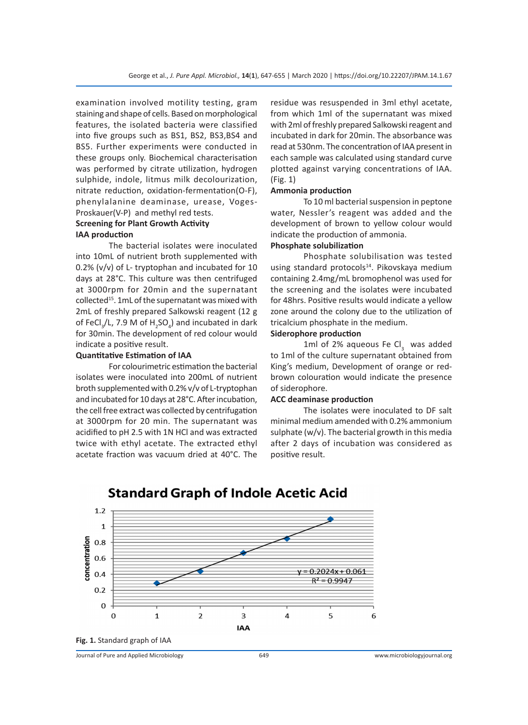examination involved motility testing, gram staining and shape of cells. Based on morphological features, the isolated bacteria were classified into five groups such as BS1, BS2, BS3,BS4 and BS5. Further experiments were conducted in these groups only. Biochemical characterisation was performed by citrate utilization, hydrogen sulphide, indole, litmus milk decolourization, nitrate reduction, oxidation-fermentation(O-F), phenylalanine deaminase, urease, Voges-Proskauer(V-P) and methyl red tests.

### **Screening for Plant Growth Activity IAA production**

The bacterial isolates were inoculated into 10mL of nutrient broth supplemented with 0.2% (v/v) of L- tryptophan and incubated for 10 days at 28°C. This culture was then centrifuged at 3000rpm for 20min and the supernatant collected<sup>15</sup>. 1mL of the supernatant was mixed with 2mL of freshly prepared Salkowski reagent (12 g of FeCl<sub>3</sub>/L, 7.9 M of  $H_2SO_4$ ) and incubated in dark for 30min. The development of red colour would indicate a positive result.

### **Quantitative Estimation of IAA**

For colourimetric estimation the bacterial isolates were inoculated into 200mL of nutrient broth supplemented with 0.2% v/v of L-tryptophan and incubated for 10 days at 28°C. After incubation, the cell free extract was collected by centrifugation at 3000rpm for 20 min. The supernatant was acidified to pH 2.5 with 1N HCl and was extracted twice with ethyl acetate. The extracted ethyl acetate fraction was vacuum dried at 40°C. The residue was resuspended in 3ml ethyl acetate, from which 1ml of the supernatant was mixed with 2ml of freshly prepared Salkowski reagent and incubated in dark for 20min. The absorbance was read at 530nm. The concentration of IAA present in each sample was calculated using standard curve plotted against varying concentrations of IAA. (Fig. 1)

### **Ammonia production**

To 10 ml bacterial suspension in peptone water, Nessler's reagent was added and the development of brown to yellow colour would indicate the production of ammonia.

### **Phosphate solubilization**

Phosphate solubilisation was tested using standard protocols<sup>14</sup>. Pikovskaya medium containing 2.4mg/mL bromophenol was used for the screening and the isolates were incubated for 48hrs. Positive results would indicate a yellow zone around the colony due to the utilization of tricalcium phosphate in the medium.

### **Siderophore production**

1ml of 2% aqueous Fe Cl<sub>3</sub> was added to 1ml of the culture supernatant obtained from King's medium, Development of orange or redbrown colouration would indicate the presence of siderophore.

### **ACC deaminase production**

The isolates were inoculated to DF salt minimal medium amended with 0.2% ammonium sulphate (w/v). The bacterial growth in this media after 2 days of incubation was considered as positive result.



## **Standard Graph of Indole Acetic Acid**

Journal of Pure and Applied Microbiology 649 www.microbiologyjournal.org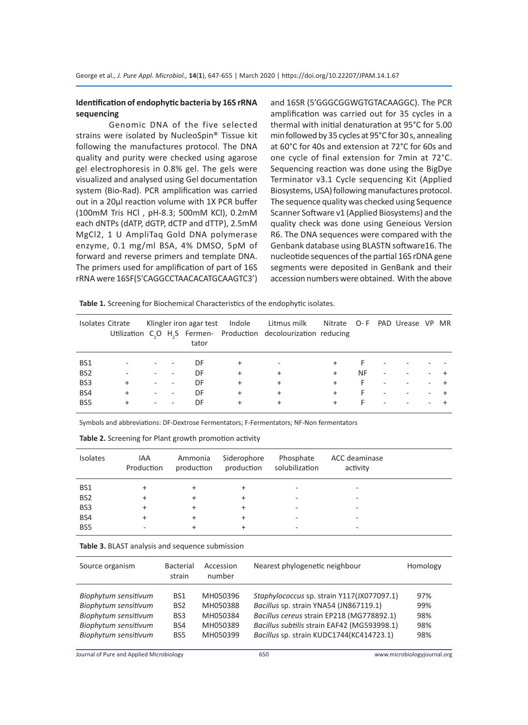### **Identification of endophytic bacteria by 16S rRNA sequencing**

Genomic DNA of the five selected strains were isolated by NucleoSpin® Tissue kit following the manufactures protocol. The DNA quality and purity were checked using agarose gel electrophoresis in 0.8% gel. The gels were visualized and analysed using Gel documentation system (Bio-Rad). PCR amplification was carried out in a 20µl reaction volume with 1X PCR buffer (100mM Tris HCl , pH-8.3; 500mM KCl), 0.2mM each dNTPs (dATP, dGTP, dCTP and dTTP), 2.5mM MgCl2, 1 U AmpliTaq Gold DNA polymerase enzyme, 0.1 mg/ml BSA, 4% DMSO, 5pM of forward and reverse primers and template DNA. The primers used for amplification of part of 16S rRNA were 16SF(5'CAGGCCTAACACATGCAAGTC3') and 16SR (5'GGGCGGWGTGTACAAGGC). The PCR amplification was carried out for 35 cycles in a thermal with initial denaturation at 95°C for 5.00 min followed by 35 cycles at 95°C for 30 s, annealing at 60°C for 40s and extension at 72°C for 60s and one cycle of final extension for 7min at 72°C. Sequencing reaction was done using the BigDye Terminator v3.1 Cycle sequencing Kit (Applied Biosystems, USA) following manufactures protocol. The sequence quality was checked using Sequence Scanner Software v1 (Applied Biosystems) and the quality check was done using Geneious Version R6. The DNA sequences were compared with the Genbank database using BLASTN software16. The nucleotide sequences of the partial 16S rDNA gene segments were deposited in GenBank and their accession numbers were obtained. With the above

**Table 1.** Screening for Biochemical Characteristics of the endophytic isolates.

| <b>Isolates Citrate</b> |                          |                          | Klingler iron agar test Indole<br>tator |           | Litmus milk Mitrate O-F PAD Urease VP MR<br>Utilization C <sub>2</sub> O H <sub>2</sub> S Fermen- Production decolourization reducing |           |    |   |   |  |
|-------------------------|--------------------------|--------------------------|-----------------------------------------|-----------|---------------------------------------------------------------------------------------------------------------------------------------|-----------|----|---|---|--|
| BS1                     |                          |                          | DF                                      | $\ddot{}$ | ۰                                                                                                                                     | $\div$    |    |   |   |  |
| BS <sub>2</sub>         |                          |                          | DF                                      | $\ddot{}$ | $\ddot{}$                                                                                                                             | $\ddot{}$ | ΝF | ۰ |   |  |
| BS3                     | $\overline{\phantom{a}}$ | $\overline{\phantom{a}}$ | DF                                      | $\ddot{}$ | $\ddot{}$                                                                                                                             | $\ddot{}$ | F  |   | ٠ |  |
| BS4                     | $\overline{\phantom{a}}$ | $\overline{\phantom{0}}$ | DF                                      | $\ddot{}$ | $\ddot{}$                                                                                                                             | $\ddot{}$ | F  |   |   |  |
| BS5                     |                          |                          | DF                                      | $\ddot{}$ | $\ddot{}$                                                                                                                             | $\ddot{}$ |    |   |   |  |

Symbols and abbreviations: DF-Dextrose Fermentators; F-Fermentators; NF-Non fermentators

| <b>Isolates</b> | <b>IAA</b><br>Production | Ammonia<br>production | Siderophore | Phosphate<br>production solubilization | ACC deaminase<br>activity |  |
|-----------------|--------------------------|-----------------------|-------------|----------------------------------------|---------------------------|--|
| BS1             |                          | +                     |             |                                        |                           |  |
| BS <sub>2</sub> |                          | +                     |             |                                        |                           |  |
| BS3             |                          |                       |             |                                        |                           |  |
| BS4             |                          |                       |             |                                        |                           |  |
| BS5             |                          |                       |             |                                        |                           |  |

**Table 2.** Screening for Plant growth promotion activity

**Table 3.** BLAST analysis and sequence submission

| Source organism      | <b>Bacterial</b><br>strain | Accession<br>number | Nearest phylogenetic neighbour              | Homology |
|----------------------|----------------------------|---------------------|---------------------------------------------|----------|
| Biophytum sensitivum | BS1                        | MH050396            | Staphylococcus sp. strain Y117(JX077097.1)  | 97%      |
| Biophytum sensitivum | BS <sub>2</sub>            | MH050388            | Bacillus sp. strain YNA54 (JN867119.1)      | 99%      |
| Biophytum sensitivum | BS <sub>3</sub>            | MH050384            | Bacillus cereus strain EP218 (MG778892.1)   | 98%      |
| Biophytum sensitivum | BS4                        | MH050389            | Bacillus subtilis strain EAF42 (MG593998.1) | 98%      |
| Biophytum sensitivum | BS <sub>5</sub>            | MH050399            | Bacillus sp. strain KUDC1744(KC414723.1)    | 98%      |

Journal of Pure and Applied Microbiology

650 www.microbiologyjournal.org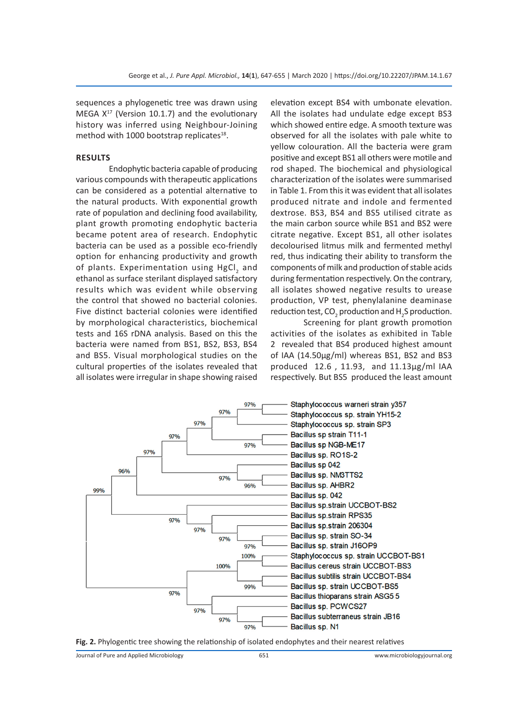sequences a phylogenetic tree was drawn using MEGA  $X^{17}$  (Version 10.1.7) and the evolutionary history was inferred using Neighbour-Joining method with 1000 bootstrap replicates $^{18}$ .

### **RESULTS**

Endophytic bacteria capable of producing various compounds with therapeutic applications can be considered as a potential alternative to the natural products. With exponential growth rate of population and declining food availability, plant growth promoting endophytic bacteria became potent area of research. Endophytic bacteria can be used as a possible eco-friendly option for enhancing productivity and growth of plants. Experimentation using HgCl<sub>2</sub> and ethanol as surface sterilant displayed satisfactory results which was evident while observing the control that showed no bacterial colonies. Five distinct bacterial colonies were identified by morphological characteristics, biochemical tests and 16S rDNA analysis. Based on this the bacteria were named from BS1, BS2, BS3, BS4 and BS5. Visual morphological studies on the cultural properties of the isolates revealed that all isolates were irregular in shape showing raised

elevation except BS4 with umbonate elevation. All the isolates had undulate edge except BS3 which showed entire edge. A smooth texture was observed for all the isolates with pale white to yellow colouration. All the bacteria were gram positive and except BS1 all others were motile and rod shaped. The biochemical and physiological characterization of the isolates were summarised in Table 1. From this it was evident that all isolates produced nitrate and indole and fermented dextrose. BS3, BS4 and BS5 utilised citrate as the main carbon source while BS1 and BS2 were citrate negative. Except BS1, all other isolates decolourised litmus milk and fermented methyl red, thus indicating their ability to transform the components of milk and production of stable acids during fermentation respectively. On the contrary, all isolates showed negative results to urease production, VP test, phenylalanine deaminase reduction test, CO<sub>2</sub> production and H<sub>2</sub>S production.

Screening for plant growth promotion activities of the isolates as exhibited in Table 2 revealed that BS4 produced highest amount of IAA (14.50µg/ml) whereas BS1, BS2 and BS3 produced 12.6 , 11.93, and 11.13µg/ml IAA respectively. But BS5 produced the least amount





Journal of Pure and Applied Microbiology 651 www.microbiologyjournal.org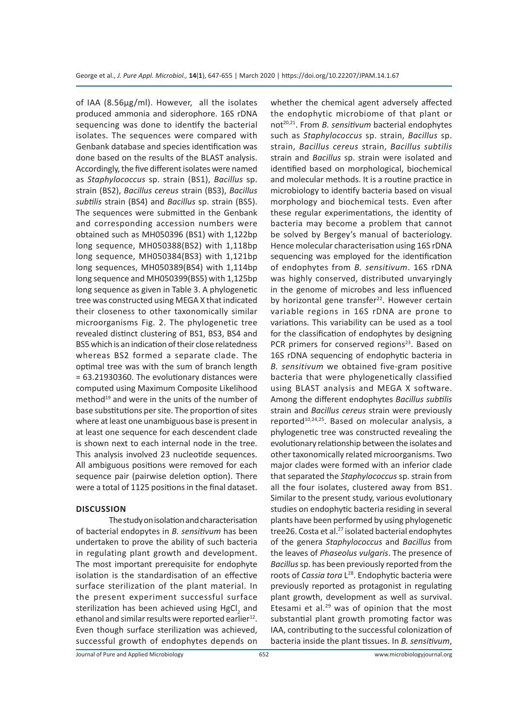of IAA (8.56µg/ml). However, all the isolates produced ammonia and siderophore. 16S rDNA sequencing was done to identify the bacterial isolates. The sequences were compared with Genbank database and species identification was done based on the results of the BLAST analysis. Accordingly, the five different isolates were named as *Staphylococcus* sp. strain (BS1), *Bacillus* sp. strain (BS2), *Bacillus cereus* strain (BS3), *Bacillus subtilis* strain (BS4) and *Bacillus* sp. strain (BS5). The sequences were submitted in the Genbank and corresponding accession numbers were obtained such as MH050396 (BS1) with 1,122bp long sequence, MH050388(BS2) with 1,118bp long sequence, MH050384(BS3) with 1,121bp long sequences, MH050389(BS4) with 1,114bp long sequence and MH050399(BS5) with 1,125bp long sequence as given in Table 3. A phylogenetic tree was constructed using MEGA X that indicated their closeness to other taxonomically similar microorganisms Fig. 2. The phylogenetic tree revealed distinct clustering of BS1, BS3, BS4 and BS5 which is an indication of their close relatedness whereas BS2 formed a separate clade. The optimal tree was with the sum of branch length = 63.21930360. The evolutionary distances were computed using Maximum Composite Likelihood method<sup>19</sup> and were in the units of the number of base substitutions per site. The proportion of sites where at least one unambiguous base is present in at least one sequence for each descendent clade is shown next to each internal node in the tree. This analysis involved 23 nucleotide sequences. All ambiguous positions were removed for each sequence pair (pairwise deletion option). There were a total of 1125 positions in the final dataset.

### **DISCUSSION**

The study on isolation and characterisation of bacterial endopytes in *B. sensitivum* has been undertaken to prove the ability of such bacteria in regulating plant growth and development. The most important prerequisite for endophyte isolation is the standardisation of an effective surface sterilization of the plant material. In the present experiment successful surface sterilization has been achieved using  $HgCl<sub>2</sub>$  and ethanol and similar results were reported earlier<sup>12</sup>. Even though surface sterilization was achieved, successful growth of endophytes depends on

whether the chemical agent adversely affected the endophytic microbiome of that plant or not<sup>20,21</sup>. From *B. sensitivum* bacterial endophytes such as *Staphylococcus* sp. strain, *Bacillus* sp. strain, *Bacillus cereus* strain, *Bacillus subtilis*  strain and *Bacillus* sp. strain were isolated and identified based on morphological, biochemical and molecular methods. It is a routine practice in microbiology to identify bacteria based on visual morphology and biochemical tests. Even after these regular experimentations, the identity of bacteria may become a problem that cannot be solved by Bergey's manual of bacteriology. Hence molecular characterisation using 16S rDNA sequencing was employed for the identification of endophytes from *B. sensitivum*. 16S rDNA was highly conserved, distributed unvaryingly in the genome of microbes and less influenced by horizontal gene transfer<sup>22</sup>. However certain variable regions in 16S rDNA are prone to variations. This variability can be used as a tool for the classification of endophytes by designing PCR primers for conserved regions<sup>23</sup>. Based on 16S rDNA sequencing of endophytic bacteria in *B. sensitivum* we obtained five-gram positive bacteria that were phylogenetically classified using BLAST analysis and MEGA X software. Among the different endophytes *Bacillus subtilis*  strain and *Bacillus cereus* strain were previously reported<sup>10,24,25</sup>. Based on molecular analysis, a phylogenetic tree was constructed revealing the evolutionary relationship between the isolates and other taxonomically related microorganisms. Two major clades were formed with an inferior clade that separated the *Staphylococcus* sp. strain from all the four isolates, clustered away from BS1. Similar to the present study, various evolutionary studies on endophytic bacteria residing in several plants have been performed by using phylogenetic tree26. Costa et al. $^{27}$  isolated bacterial endophytes of the genera *Staphylococcus* and *Bacillus* from the leaves of *Phaseolus vulgaris*. The presence of *Bacillus* sp. has been previously reported from the roots of *Cassia tora* L28. Endophytic bacteria were previously reported as protagonist in regulating plant growth, development as well as survival. Etesami et al. $29$  was of opinion that the most substantial plant growth promoting factor was IAA, contributing to the successful colonization of bacteria inside the plant tissues. In *B. sensitivum*,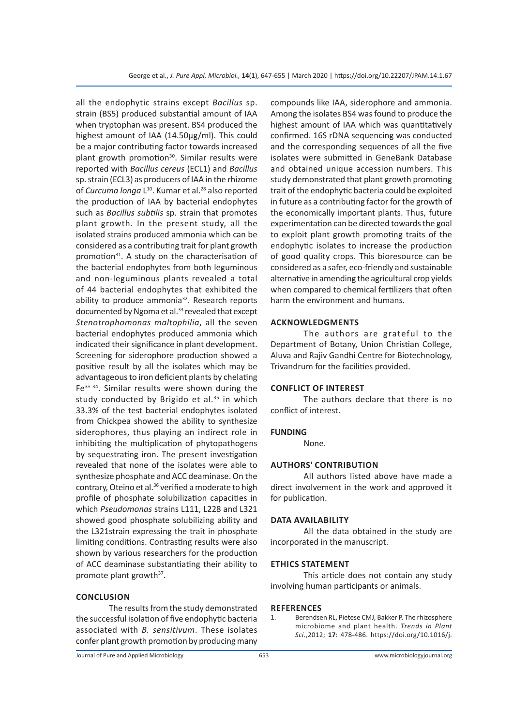all the endophytic strains except *Bacillus* sp. strain (BS5) produced substantial amount of IAA when tryptophan was present. BS4 produced the highest amount of IAA (14.50µg/ml). This could be a major contributing factor towards increased plant growth promotion<sup>30</sup>. Similar results were reported with *Bacillus cereus* (ECL1) and *Bacillus*  sp. strain (ECL3) as producers of IAA in the rhizome of *Curcuma longa* L<sup>10</sup>. Kumar et al.<sup>28</sup> also reported the production of IAA by bacterial endophytes such as *Bacillus subtilis* sp. strain that promotes plant growth. In the present study, all the isolated strains produced ammonia which can be considered as a contributing trait for plant growth promotion<sup>31</sup>. A study on the characterisation of the bacterial endophytes from both leguminous and non-leguminous plants revealed a total of 44 bacterial endophytes that exhibited the ability to produce ammonia<sup>32</sup>. Research reports documented by Ngoma et al.<sup>33</sup> revealed that except *Stenotrophomonas maltophilia*, all the seven bacterial endophytes produced ammonia which indicated their significance in plant development. Screening for siderophore production showed a positive result by all the isolates which may be advantageous to iron deficient plants by chelating Fe<sup>3+ 34</sup>. Similar results were shown during the study conducted by Brigido et al. $35$  in which 33.3% of the test bacterial endophytes isolated from Chickpea showed the ability to synthesize siderophores, thus playing an indirect role in inhibiting the multiplication of phytopathogens by sequestrating iron. The present investigation revealed that none of the isolates were able to synthesize phosphate and ACC deaminase. On the contrary, Oteino et al.<sup>36</sup> verified a moderate to high profile of phosphate solubilization capacities in which *Pseudomonas* strains L111, L228 and L321 showed good phosphate solubilizing ability and the L321strain expressing the trait in phosphate limiting conditions. Contrasting results were also shown by various researchers for the production of ACC deaminase substantiating their ability to promote plant growth<sup>37</sup>.

### **CONCLUSION**

The results from the study demonstrated the successful isolation of five endophytic bacteria associated with *B. sensitivum*. These isolates confer plant growth promotion by producing many compounds like IAA, siderophore and ammonia. Among the isolates BS4 was found to produce the highest amount of IAA which was quantitatively confirmed. 16S rDNA sequencing was conducted and the corresponding sequences of all the five isolates were submitted in GeneBank Database and obtained unique accession numbers. This study demonstrated that plant growth promoting trait of the endophytic bacteria could be exploited in future as a contributing factor for the growth of the economically important plants. Thus, future experimentation can be directed towards the goal to exploit plant growth promoting traits of the endophytic isolates to increase the production of good quality crops. This bioresource can be considered as a safer, eco-friendly and sustainable alternative in amending the agricultural crop yields when compared to chemical fertilizers that often harm the environment and humans.

### **ACKNOWLEDGMENTS**

The authors are grateful to the Department of Botany, Union Christian College, Aluva and Rajiv Gandhi Centre for Biotechnology, Trivandrum for the facilities provided.

### **CONFLICT OF INTEREST**

The authors declare that there is no conflict of interest.

### **FUNDING**

None.

### **AUTHORS' CONTRIBUTION**

All authors listed above have made a direct involvement in the work and approved it for publication.

### **DATA AVAILABILITY**

All the data obtained in the study are incorporated in the manuscript.

### **ETHICS STATEMENT**

This article does not contain any study involving human participants or animals.

### **REFERENCES**

1. Berendsen RL, Pietese CMJ, Bakker P. The rhizosphere microbiome and plant health. *Trends in Plant Sci.*,2012; **17**: 478-486. https://doi.org/10.1016/j.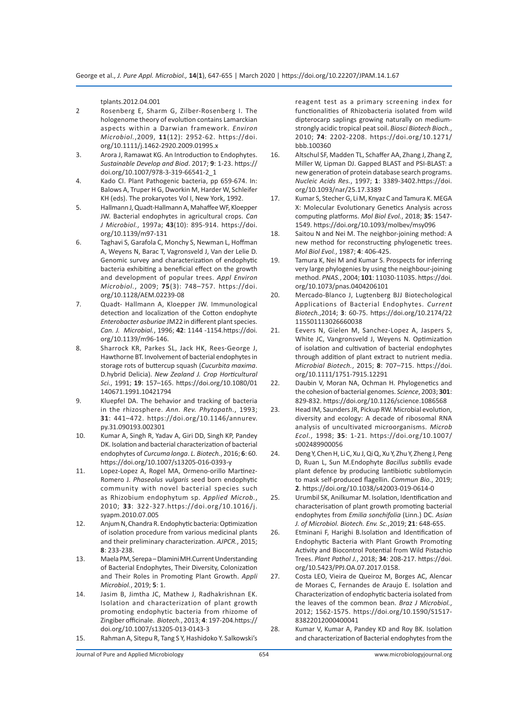tplants.2012.04.001

- 2 Rosenberg E, Sharm G, Zilber-Rosenberg I. The hologenome theory of evolution contains Lamarckian aspects within a Darwian framework. *Environ Microbiol.*,2009, **11**(12): 2952-62. https://doi. org/10.1111/j.1462-2920.2009.01995.x
- 3. Arora J, Ramawat KG. An Introduction to Endophytes. *Sustainable Develop and Biod*. 2017; **9**: 1-23. https:// doi.org/10.1007/978-3-319-66541-2\_1
- 4. Kado CI. Plant Pathogenic bacteria, pp 659-674. In: Balows A, Truper H G, Dworkin M, Harder W, Schleifer KH (eds). The prokaryotes Vol I, New York, 1992.
- 5. Hallmann J, Quadt-Hallmann A, Mahaffee WF, Kloepper JW. Bacterial endophytes in agricultural crops. *Can J Microbiol.*, 1997a; **43**(10): 895-914. https://doi. org/10.1139/m97-131
- 6. Taghavi S, Garafola C, Monchy S, Newman L, Hoffman A, Weyens N, Barac T, Vagronsveld J, Van der Lelie D. Genomic survey and characterization of endophytic bacteria exhibiting a beneficial effect on the growth and development of popular trees. *Appl Environ Microbiol.*, 2009; **75**(3): 748–757. https://doi. org/10.1128/AEM.02239-08
- 7. Quadt- Hallmann A, Kloepper JW. Immunological detection and localization of the Cotton endophyte *Enterobacter asburiae* JM22 in different plant species. *Can. J. Microbial.*, 1996; **42**: 1144 -1154.https://doi. org/10.1139/m96-146.
- 8. Sharrock KR, Parkes SL, Jack HK, Rees-George J, Hawthorne BT. Involvement of bacterial endophytes in storage rots of buttercup squash (*Cucurbita maxima*. D.hybrid Delicia). *New Zealand J. Crop Horticultural Sci.*, 1991; **19**: 157–165. https://doi.org/10.1080/01 140671.1991.10421794
- 9. Kluepfel DA. The behavior and tracking of bacteria in the rhizosphere. *Ann. Rev. Phytopath.*, 1993; **31**: 441–472. https://doi.org/10.1146/annurev. py.31.090193.002301
- 10. Kumar A, Singh R, Yadav A, Giri DD, Singh KP, Pandey DK. Isolation and bacterial characterization of bacterial endophytes of *Curcuma longa*. *L. Biotech.*, 2016; **6**: 60. https://doi.org/10.1007/s13205-016-0393-y
- 11. Lopez-Lopez A, Rogel MA, Ormeno-orillo Martinez-Romero J. *Phaseolus vulgaris* seed born endophytic community with novel bacterial species such as Rhizobium endophytum sp. *Applied Microb.*, 2010; **33**: 322-327.https://doi.org/10.1016/j. syapm.2010.07.005
- 12. Anjum N, Chandra R. Endophytic bacteria: Optimization of isolation procedure from various medicinal plants and their preliminary characterization. *AJPCR.*, 2015; **8**: 233-238.
- 13. Maela PM, Serepa Dlamini MH.Current Understanding of Bacterial Endophytes, Their Diversity, Colonization and Their Roles in Promoting Plant Growth. *Appli Microbiol.*, 2019; **5**: 1.
- 14. Jasim B, Jimtha JC, Mathew J, Radhakrishnan EK. Isolation and characterization of plant growth promoting endophytic bacteria from rhizome of Zingiber officinale. *Biotech.*, 2013; **4**: 197-204.https:// doi.org/10.1007/s13205-013-0143-3
- 15. Rahman A, Sitepu R, Tang S Y, Hashidoko Y. Salkowski's

reagent test as a primary screening index for functionalities of Rhizobacteria isolated from wild dipterocarp saplings growing naturally on mediumstrongly acidic tropical peat soil. *Biosci Biotech Bioch.*, 2010; **74**: 2202-2208. https://doi.org/10.1271/ bbb.100360

- 16. Altschul SF, Madden TL, Schaffer AA, Zhang J, Zhang Z, Miller W, Lipman DJ. Gapped BLAST and PSI-BLAST: a new generation of protein database search programs. *Nucleic Acids Res.*, 1997; **1**: 3389-3402.https://doi. org/10.1093/nar/25.17.3389
- 17. Kumar S, Stecher G, Li M, Knyaz C and Tamura K. MEGA X: Molecular Evolutionary Genetics Analysis across computing platforms. *Mol Biol Evol.*, 2018; **35**: 1547- 1549. https://doi.org/10.1093/molbev/msy096
- 18. Saitou N and Nei M. The neighbor-joining method: A new method for reconstructing phylogenetic trees. *Mol Biol Evol.*, 1987; **4**: 406-425.
- 19. Tamura K, Nei M and Kumar S. Prospects for inferring very large phylogenies by using the neighbour-joining method. *PNAS.*, 2004; **101**: 11030-11035. https://doi. org/10.1073/pnas.0404206101
- 20. Mercado-Blanco J, Lugtenberg BJJ Biotechological Applications of Bacterial Endophytes. *Current Biotech.*,2014; **3**: 60-75. https://doi.org/10.2174/22 115501113026660038
- 21. Eevers N, Gielen M, Sanchez-Lopez A, Jaspers S, White JC, Vangronsveld J, Weyens N. Optimization of isolation and cultivation of bacterial endophytes through addition of plant extract to nutrient media. *Microbial Biotech.*, 2015; **8**: 707–715. https://doi. org/10.1111/1751-7915.12291
- 22. Daubin V, Moran NA, Ochman H. Phylogenetics and the cohesion of bacterial genomes. *Science*, 2003; **301**: 829-832. https://doi.org/10.1126/science.1086568
- 23. Head IM, Saunders JR, Pickup RW. Microbial evolution, diversity and ecology: A decade of ribosomal RNA analysis of uncultivated microorganisms. *Microb Ecol.*, 1998; **35**: 1-21. https://doi.org/10.1007/ s002489900056
- 24. Deng Y, Chen H, Li C, Xu J, Qi Q, Xu Y, Zhu Y, Zheng J, Peng D, Ruan L, Sun M.Endophyte *Bacillus subtilis* evade plant defence by producing lantibiotic subtilomycin to mask self-produced flagellin. *Commun Bio.*, 2019; **2**. https://doi.org/10.1038/s42003-019-0614-0
- 25. Urumbil SK, Anilkumar M. Isolation, Identification and characterisation of plant growth promoting bacterial endophytes from *Emilia sonchifolia* (Linn.) DC. *Asian J. of Microbiol. Biotech. Env. Sc.*,2019; **21**: 648-655.
- 26. Etminani F, Harighi B.Isolation and Identification of Endophytic Bacteria with Plant Growth Promoting Activity and Biocontrol Potential from Wild Pistachio Trees. *Plant Pathol J.*, 2018; **34**: 208-217. https://doi. org/10.5423/PPJ.OA.07.2017.0158.
- 27. Costa LEO, Vieira de Queiroz M, Borges AC, Alencar de Moraes C, Fernandes de Araujo E. Isolation and Characterization of endophytic bacteria isolated from the leaves of the common bean. *Braz J Microbiol.*, 2012; 1562-1575. https://doi.org/10.1590/S1517- 83822012000400041
- 28. Kumar V, Kumar A, Pandey KD and Roy BK. Isolation and characterization of Bacterial endophytes from the